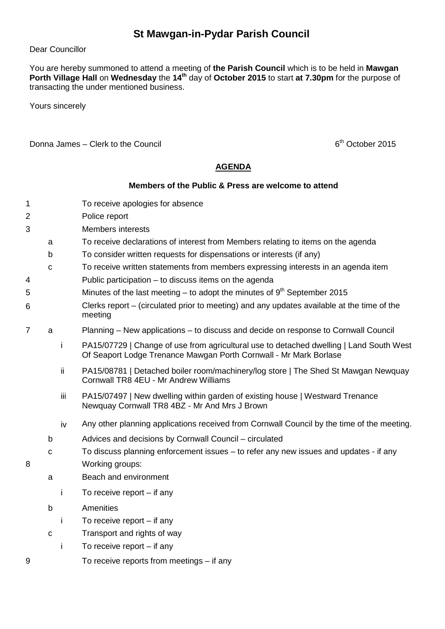## **St Mawgan-in-Pydar Parish Council**

## Dear Councillor

You are hereby summoned to attend a meeting of **the Parish Council** which is to be held in **Mawgan Porth Village Hall** on **Wednesday** the **14th** day of **October 2015** to start **at 7.30pm** for the purpose of transacting the under mentioned business.

Yours sincerely

Donna James – Clerk to the Council  $6<sup>th</sup>$  October 2015

## **AGENDA**

## **Members of the Public & Press are welcome to attend**

- 1 To receive apologies for absence
- 2 Police report
- 3 Members interests
	- a To receive declarations of interest from Members relating to items on the agenda
	- b To consider written requests for dispensations or interests (if any)
- c To receive written statements from members expressing interests in an agenda item
- 4 Public participation to discuss items on the agenda
- $5$  Minutes of the last meeting to adopt the minutes of  $9<sup>th</sup>$  September 2015
- 6 Clerks report – (circulated prior to meeting) and any updates available at the time of the meeting
- 7 a Planning New applications to discuss and decide on response to Cornwall Council
	- i PA15/07729 | Change of use from agricultural use to detached dwelling | Land South West Of Seaport Lodge Trenance Mawgan Porth Cornwall - Mr Mark Borlase
	- ii PA15/08781 | Detached boiler room/machinery/log store | The Shed St Mawgan Newquay Cornwall TR8 4EU - Mr Andrew Williams
	- iii PA15/07497 | New dwelling within garden of existing house | Westward Trenance Newquay Cornwall TR8 4BZ - Mr And Mrs J Brown
	- iv Any other planning applications received from Cornwall Council by the time of the meeting.
	- b Advices and decisions by Cornwall Council circulated
- c To discuss planning enforcement issues to refer any new issues and updates if any 8 Working groups:
	- a Beach and environment
		- i To receive report if any
	- b Amenities
		- i To receive report if any
	- c Transport and rights of way
	- i To receive report if any
- 9 To receive reports from meetings if any